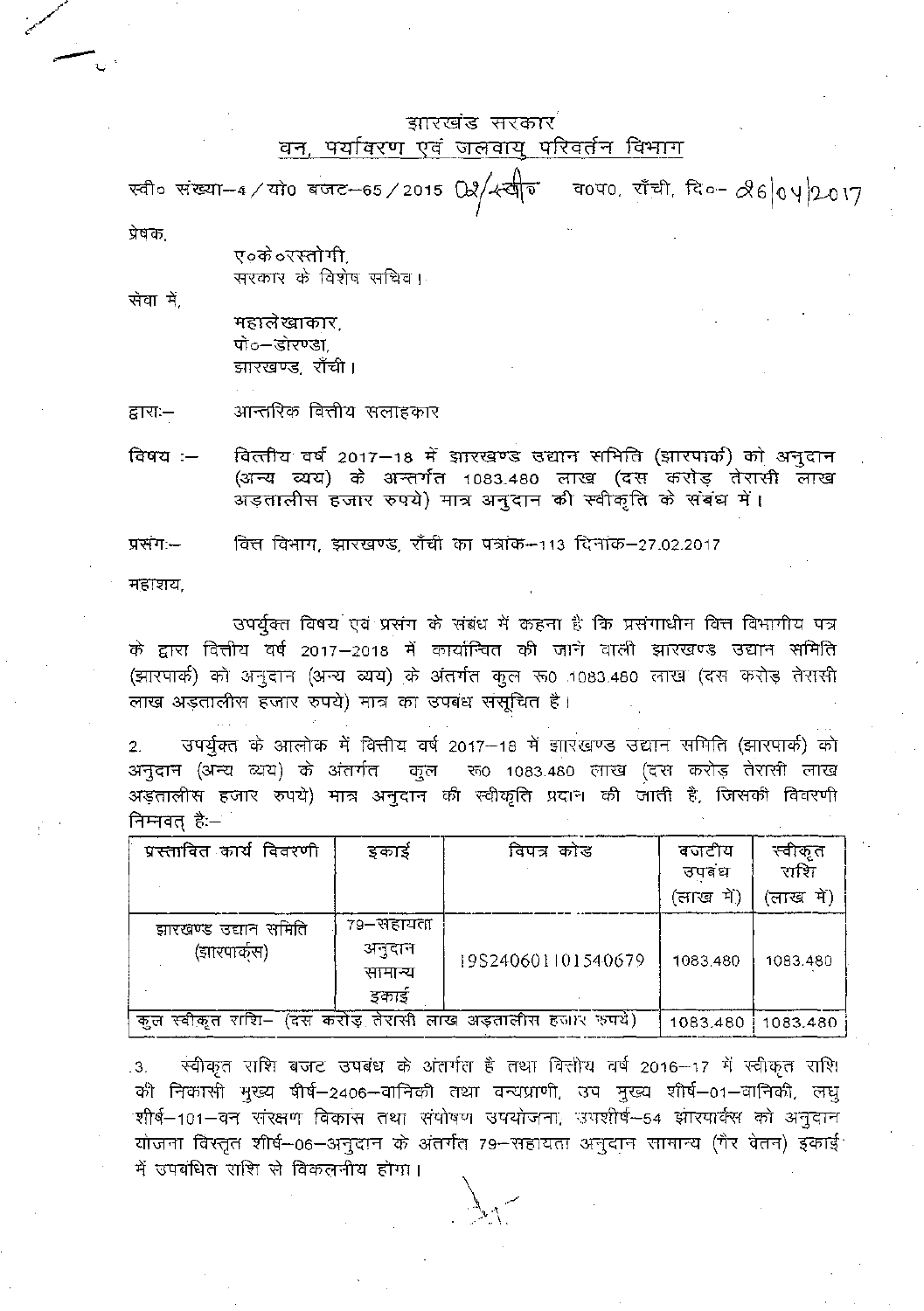## झारखंड सरकार वन, पर्यावरण एवं जलवायु परिवर्तन विभाग

स्वी० संख्या-4/यो0 बजट-65/2015 02/ स्वीर व0प0. राँची दि०- 26 04 2017 प्रेषक

> ए०के ०रस्तोगी. सरकार के विशेष सचिव ।

सेवा मे

महालेखाकार. पो०–डोरण्डा झारखण्ड, राँची।

आन्तरिक वित्तीय सलाहकार द्वारा:—

वित्तीय वर्ष 2017-18 में झारखण्ड उद्यान समिति (झारपार्क) को अनुदान विषय:— (अन्य व्यय) के अन्तर्गत 1083.480 लाख (दस करोड़ तेरासी लाख अड़तालीस हजार रुपये) मात्र अनुदान की स्वीकृति के संबंध में।

वित्त विभाग, झारखण्ड, राँची का पत्रांक--113 दिनांक-27.02.2017 प्रसंग:--

महाशय,

उपर्युक्त विषय एवं प्रसंग के संबंध में कहना है कि प्रसंगाधीन वित्त विभागीय पत्र के द्वारा वित्तीय वर्ष 2017–2018 में कार्यान्वित की जाने वाली झारखण्ड उद्यान समिति (झारपार्क) को अनुदान (अन्य व्यय) के अंतर्गत कुल रू0 1083.480 लाख (दस करोड़ तेरासी लाख अड़तालीस हजार रुपये) मात्र का उपबंध संसूचित है।

उपर्युक्त के आलोक में वित्तीय वर्ष 2017-18 में झारखण्ड उद्यान समिति (झारपार्क) को  $2.$ अनुदान (अन्य व्यय) के अंतर्गत कुल हरू 1083.480 लाख (दस करोड़ तेरासी लाख अड़तालीस हजार रुपये) मात्र अनुदान की स्वीकृति प्रदान की जाती है, जिसकी विवरणी निम्नवत् है:—

| प्रस्तावित कार्य विवरणी                                     | इकाई                                     | विपत्र कोड         | बजटीय<br>उपवंध<br>(लाख में) | स्वीकृत<br>राशि<br>'लाख में) |
|-------------------------------------------------------------|------------------------------------------|--------------------|-----------------------------|------------------------------|
| झारखण्ड उद्यान समिति<br>(झारपार्कस)                         | 79–सहायता<br>अनुदान<br>सामान्य<br>इकार्ड | 19S240601101540679 | 1083.480                    | 1083.480                     |
| कुल स्वीकृत राशि– (दस करोड़ तेरासी लाख अड़तालीस हजार रुपये) |                                          |                    | 1083.480                    | 1083.480                     |

स्वीकृत राशि बजट उपबंध के अंतर्गत है तथा क्तिरीय वर्ष 2016–17 में स्वीकृत राशि 3. की निकासी मुख्य षीर्ष–2406–वानिकी तथा वन्यप्राणी, उप मुख्य शीर्ष–01–वानिकी, लघु .<br>शीर्ष–101–वन संरक्षण विकास तथा संयोषण उपयोजना, उपशीर्ष–54 झारयार्क्स को अनुदान योजना विस्तृत शीर्ष-06-अनुदान के अंतर्गत 79-सहायता अनुदान सामान्य (गैर वेतन) इकाई में उपबंधित राशि से विकलनीय होगा।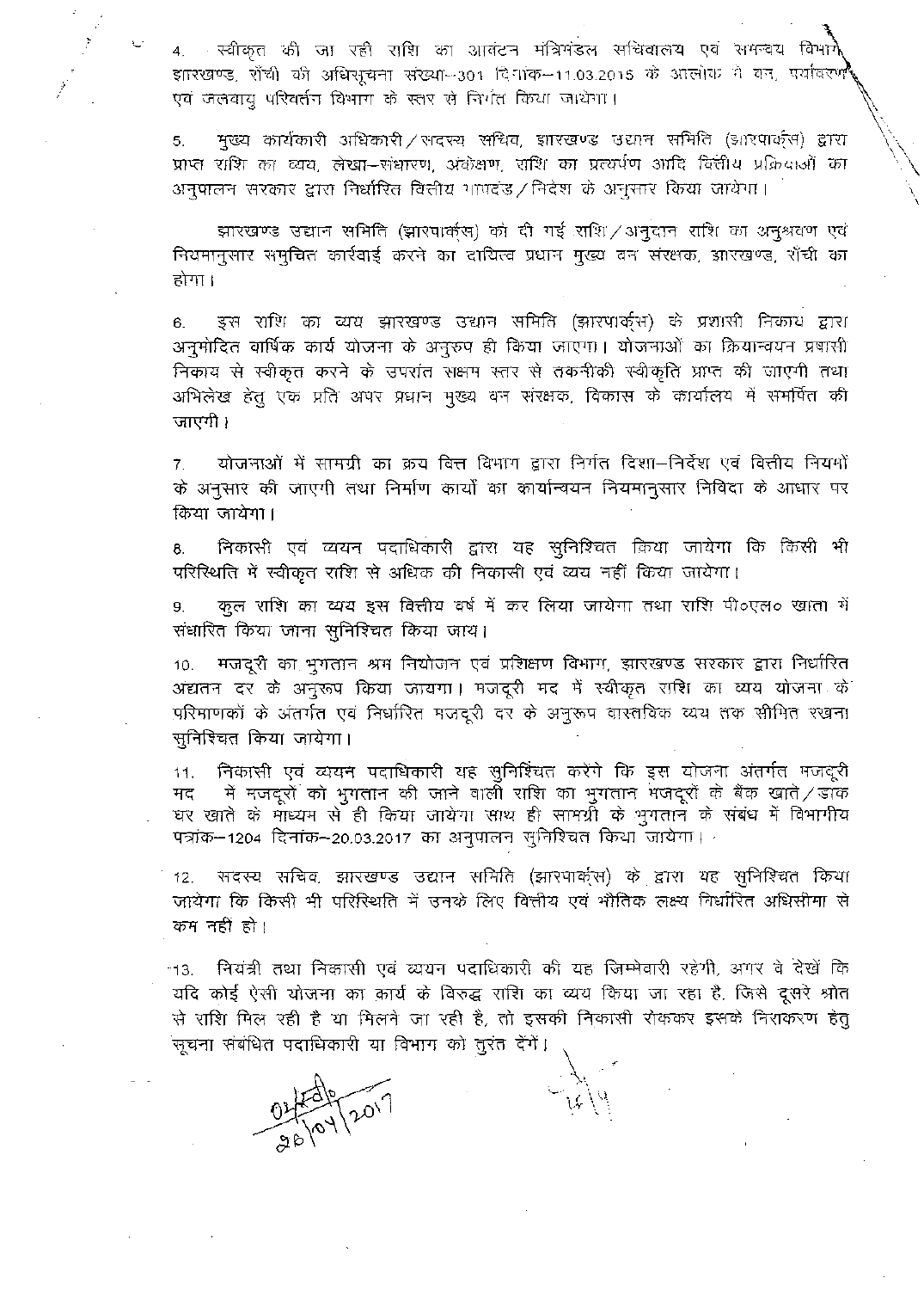4. स्वीकृत की जा रही राशि का आवंटन मंत्रिमंडल सचिवालय एवं समन्वय विभागे इारखण्ड, सँची की अधिसूचना संख्या--301 दिनांक--11.03.2015 के आलोक ने वन, पर्यावरण एवं जलवायु परिवर्तन विभाग के स्तर से निर्गत किया जायेगा।

मुख्य कार्यकारी अधिकारी/सदस्य सचिव, झारखण्ड उद्यान समिति (झारपार्क्स) द्वारा 5. प्राप्त राशि का व्यय, लेखा-संधारण, अंकेक्षण, राशि का प्रत्यर्पण आदि वित्तीय प्रक्रियाओं का अनुपालन सरकार द्वारा निर्धारित विलीय गाण्डंड / निदेश के अनुसार किया जायेगा।

झारखण्ड उद्यान समिति (झारपार्क्स) को दी गई राशि ⁄ अनुदान राशि का अनुश्रवण एवं नियमानुसार समुचित कार्रवाई करने का दायित्व प्रधान मुख्य वन संरक्षक, झारखण्ड, राँची का होगा ।

इस राशि का व्यय झारखण्ड उद्यान समिति (झारपार्क्स) के प्रशासी निकाय द्वारा  $6.$ अनुमोदित वार्षिक कार्य योजना के अनुरुप ही किया जाएगा। योजनाओं का क्रियान्वयन प्रषासी निकाय से स्वीकृत करने के उपरांत सक्षम स्तर से तकनीकी स्वीकृति प्राप्त की जाएगी तथा अभिलेख हेतू एक प्रति अपर प्रधान मुख्य वन संरक्षक, विकास के कार्यालय में समर्पित की जाएगी ।

योजनाओं में सामग्री का क्रय बित्त विभाग द्वारा निर्गत दिशा–निर्देश एवं वित्तीय नियमों  $7.$ के अनुसार की जाएगी तथा निर्माण कार्यों का कार्यान्वयन नियमानुसार निविदा के आधार पर किया जायेगा।

निकासी एवं व्ययन पदाधिकारी द्वारा यह सुनिश्चित किया जायेगा कि किसी भी 8. परिस्थिति में स्वीकृत राशि से अधिक की निकासी एवं व्यय नहीं किया जायेगा।

कुल राशि का व्यय इस वित्तीय वर्ष में कर लिया जायेगा तथा राशि पी०एल० खाता में 9. संधारित किया जाना सुनिश्चित किया जाय।

मजदूरी का भूगतान श्रम नियोजन एवं प्रशिक्षण विभाग, झारखण्ड सरकार द्वारा निर्धारित  $10.$ अद्यतन दर के अनुरुष किया जायगा। मजदूरी मद में स्वीकृत राशि का व्यय योजना के परिमाणकों के अंतर्गत एवं निर्धारित मजदूरी दर के अनुरूप वास्तविक व्यय तक सीमित रखना सुनिश्चित किया जायेगा।

निकासी एवं व्ययन पदाधिकारी यह सुनिश्चित करेंगे कि इस योजना अंतर्गत मजदूरी  $11.$ में मजदूरों को भुगतान की जाने वाली राशि का भुगतान मजदूरों के बैंक खाते / डाक मद घर खाते के माध्यम से ही किया जायेगा साथ ही सामग्री के भुगतान के संबंध में विभागीय पत्रांक--1204 दिनांक--20.03.2017 का अनुपालन सुनिश्चित किया जायेगा।

सदस्य सचिव, झारखण्ड उद्यान समिति (झारपार्क्स) के द्वारा यह सुनिश्चित किया  $12.$ जायेगा कि किसी भी परिस्थिति में उनके लिए वित्तीय एवं भौतिक लक्ष्य निर्धारित अधिसीमा से कम नहीं हो।

- नियंत्री तथा निकासी एवं व्ययन पदाधिकारी की यह जिम्मेवारी रहेगी, अगर वे देखें कि  $-13.$ यदि कोई ऐसी योजना का कार्य के विरुद्ध राशि का व्यय किया जा रहा है, जिसे दूसरे श्रोत से राशि मिल रही है या मिलने जा रही है, तो इसकी निकासी रोककर इसके निराकरण हेत् सूचना संबंधित पदाधिकारी या विभाग को तुरंत देंगें।